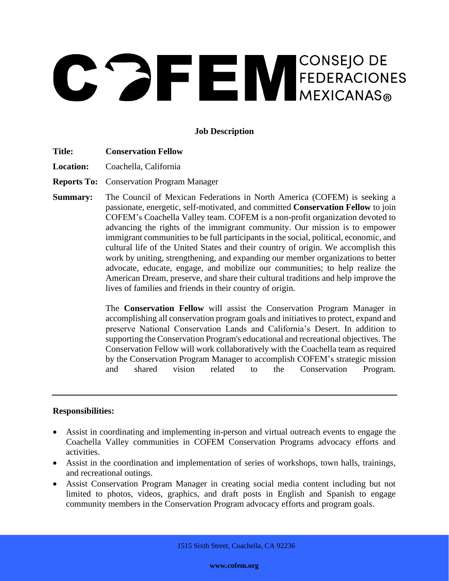# CONSEJO DE FEDERACIONES

# **Job Description**

- **Title: Conservation Fellow**
- **Location:** Coachella, California

**Reports To:** Conservation Program Manager

**Summary:** The Council of Mexican Federations in North America (COFEM) is seeking a passionate, energetic, self-motivated, and committed **Conservation Fellow** to join COFEM's Coachella Valley team. COFEM is a non-profit organization devoted to advancing the rights of the immigrant community. Our mission is to empower immigrant communities to be full participants in the social, political, economic, and cultural life of the United States and their country of origin. We accomplish this work by uniting, strengthening, and expanding our member organizations to better advocate, educate, engage, and mobilize our communities; to help realize the American Dream, preserve, and share their cultural traditions and help improve the lives of families and friends in their country of origin.

> The **Conservation Fellow** will assist the Conservation Program Manager in accomplishing all conservation program goals and initiatives to protect, expand and preserve National Conservation Lands and California's Desert. In addition to supporting the Conservation Program's educational and recreational objectives. The Conservation Fellow will work collaboratively with the Coachella team as required by the Conservation Program Manager to accomplish COFEM's strategic mission and shared vision related to the Conservation Program.

#### **Responsibilities:**

- Assist in coordinating and implementing in-person and virtual outreach events to engage the Coachella Valley communities in COFEM Conservation Programs advocacy efforts and activities.
- Assist in the coordination and implementation of series of workshops, town halls, trainings, and recreational outings.
- Assist Conservation Program Manager in creating social media content including but not limited to photos, videos, graphics, and draft posts in English and Spanish to engage community members in the Conservation Program advocacy efforts and program goals.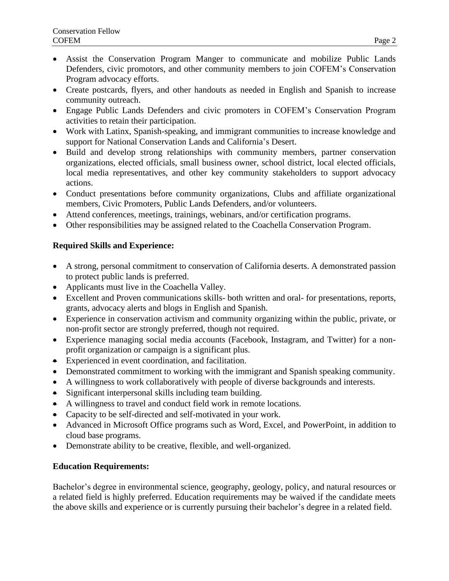- Assist the Conservation Program Manger to communicate and mobilize Public Lands Defenders, civic promotors, and other community members to join COFEM's Conservation Program advocacy efforts.
- Create postcards, flyers, and other handouts as needed in English and Spanish to increase community outreach.
- Engage Public Lands Defenders and civic promoters in COFEM's Conservation Program activities to retain their participation.
- Work with Latinx, Spanish-speaking, and immigrant communities to increase knowledge and support for National Conservation Lands and California's Desert.
- Build and develop strong relationships with community members, partner conservation organizations, elected officials, small business owner, school district, local elected officials, local media representatives, and other key community stakeholders to support advocacy actions.
- Conduct presentations before community organizations, Clubs and affiliate organizational members, Civic Promoters, Public Lands Defenders, and/or volunteers.
- Attend conferences, meetings, trainings, webinars, and/or certification programs.
- Other responsibilities may be assigned related to the Coachella Conservation Program.

# **Required Skills and Experience:**

- A strong, personal commitment to conservation of California deserts. A demonstrated passion to protect public lands is preferred.
- Applicants must live in the Coachella Valley.
- Excellent and Proven communications skills- both written and oral- for presentations, reports, grants, advocacy alerts and blogs in English and Spanish.
- Experience in conservation activism and community organizing within the public, private, or non-profit sector are strongly preferred, though not required.
- Experience managing social media accounts (Facebook, Instagram, and Twitter) for a nonprofit organization or campaign is a significant plus.
- Experienced in event coordination, and facilitation.
- Demonstrated commitment to working with the immigrant and Spanish speaking community.
- A willingness to work collaboratively with people of diverse backgrounds and interests.
- Significant interpersonal skills including team building.
- A willingness to travel and conduct field work in remote locations.
- Capacity to be self-directed and self-motivated in your work.
- Advanced in Microsoft Office programs such as Word, Excel, and PowerPoint, in addition to cloud base programs.
- Demonstrate ability to be creative, flexible, and well-organized.

## **Education Requirements:**

Bachelor's degree in environmental science, geography, geology, policy, and natural resources or a related field is highly preferred. Education requirements may be waived if the candidate meets the above skills and experience or is currently pursuing their bachelor's degree in a related field.